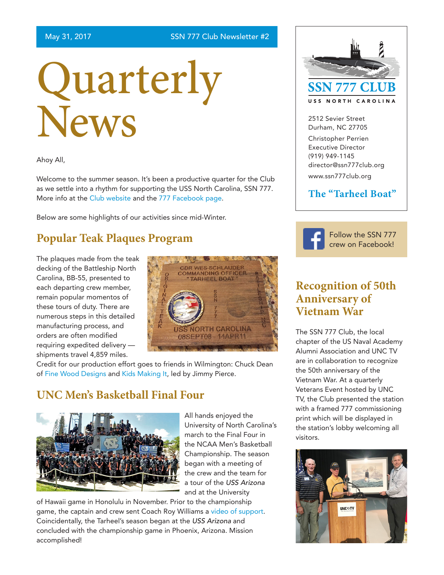# Quarterly News

Ahoy All,

Welcome to the summer season. It's been a productive quarter for the Club as we settle into a rhythm for supporting the USS North Carolina, SSN 777. More info at the [Club website](http://www.ssn777club.org/) and the [777 Facebook page.](https://www.facebook.com/USSNorthCarolina/)

Below are some highlights of our activities since mid-Winter.

## **Popular Teak Plaques Program**

The plaques made from the teak decking of the Battleship North Carolina, BB-55, presented to each departing crew member, remain popular momentos of these tours of duty. There are numerous steps in this detailed manufacturing process, and orders are often modified requiring expedited delivery shipments travel 4,859 miles.



Credit for our production effort goes to friends in Wilmington: Chuck Dean of [Fine Wood Designs](https://www.facebook.com/Fine-Wood-Designs-1452770728277119/) and [Kids Making It](http://kidsmakingit.org/), led by Jimmy Pierce.

### **UNC Men's Basketball Final Four**



All hands enjoyed the University of North Carolina's march to the Final Four in the NCAA Men's Basketball Championship. The season began with a meeting of the crew and the team for a tour of the *USS Arizona* and at the University

of Hawaii game in Honolulu in November. Prior to the championship game, the captain and crew sent Coach Roy Williams a [video of support](https://www.facebook.com/USSNorthCarolina/videos/vb.247693321914705/1681255968558426/?type=2&theater). Coincidentally, the Tarheel's season began at the *USS Arizona* and concluded with the championship game in Phoenix, Arizona. Mission accomplished!



2512 Sevier Street Durham, NC 27705

Christopher Perrien Executive Director (919) 949-1145 director@ssn777club.org www.ssn777club.org

#### **The "Tarheel Boat"**



[Follow the SSN 777](https://www.facebook.com/USSNorthCarolina/)  [crew on Facebook!](https://www.facebook.com/USSNorthCarolina/)

#### **Recognition of 50th Anniversary of Vietnam War**

The SSN 777 Club, the local chapter of the US Naval Academy Alumni Association and UNC TV are in collaboration to recognize the 50th anniversary of the Vietnam War. At a quarterly Veterans Event hosted by UNC TV, the Club presented the station with a framed 777 commissioning print which will be displayed in the station's lobby welcoming all visitors.